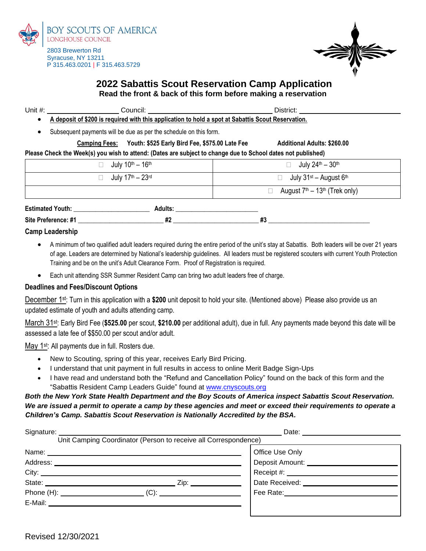

P 315.463.0201 | F 315.463.5729

Syracuse, NY 13211

# **2022 Sabattis Scout Reservation Camp Application Read the front & back of this form before making a reservation**

| Unit $#$ :                                                                                                   |                                                                                                    |  | District:                              |  |  |  |  |
|--------------------------------------------------------------------------------------------------------------|----------------------------------------------------------------------------------------------------|--|----------------------------------------|--|--|--|--|
|                                                                                                              | A deposit of \$200 is required with this application to hold a spot at Sabattis Scout Reservation. |  |                                        |  |  |  |  |
|                                                                                                              | Subsequent payments will be due as per the schedule on this form.                                  |  |                                        |  |  |  |  |
|                                                                                                              | Youth: \$525 Early Bird Fee, \$575.00 Late Fee<br><b>Camping Fees:</b>                             |  | <b>Additional Adults: \$260.00</b>     |  |  |  |  |
| Please Check the Week(s) you wish to attend: (Dates are subject to change due to School dates not published) |                                                                                                    |  |                                        |  |  |  |  |
|                                                                                                              | July $10^{th} - 16^{th}$                                                                           |  | July $24^{\text{th}} - 30^{\text{th}}$ |  |  |  |  |
|                                                                                                              | July $17^{\text{th}} - 23^{\text{rd}}$                                                             |  | July $31^{st}$ – August $6^{th}$       |  |  |  |  |
|                                                                                                              |                                                                                                    |  | August $7th - 13th$ (Trek only)        |  |  |  |  |

| <b>Estimated Youth:</b> |            |  |
|-------------------------|------------|--|
| Site Preference: #1     | <br><br>πv |  |

#### **Camp Leadership**

- A minimum of two qualified adult leaders required during the entire period of the unit's stay at Sabattis. Both leaders will be over 21 years of age. Leaders are determined by National's leadership guidelines. All leaders must be registered scouters with current Youth Protection Training and be on the unit's Adult Clearance Form. Proof of Registration is required.
- Each unit attending SSR Summer Resident Camp can bring two adult leaders free of charge.

### **Deadlines and Fees/Discount Options**

December 1st: Turn in this application with a **\$200** unit deposit to hold your site. (Mentioned above) Please also provide us an updated estimate of youth and adults attending camp.

March 31st: Early Bird Fee (**\$525.00** per scout, **\$210.00** per additional adult), due in full. Any payments made beyond this date will be assessed a late fee of \$\$50.00 per scout and/or adult.

May 1<sup>st</sup>: All payments due in full. Rosters due.

- New to Scouting, spring of this year, receives Early Bird Pricing.
- I understand that unit payment in full results in access to online Merit Badge Sign-Ups
- I have read and understand both the "Refund and Cancellation Policy" found on the back of this form and the "Sabattis Resident Camp Leaders Guide" found at [www.cnyscouts.org](http://www.cnyscouts.org/)

## *Both the New York State Health Department and the Boy Scouts of America inspect Sabattis Scout Reservation. We are issued a permit to operate a camp by these agencies and meet or exceed their requirements to operate a Children's Camp. Sabattis Scout Reservation is Nationally Accredited by the BSA.*

| Signature:                                                                                                                                                                                                                     |      | Date: the contract of the contract of the contract of the contract of the contract of the contract of the contract of the contract of the contract of the contract of the contract of the contract of the contract of the cont |  |  |
|--------------------------------------------------------------------------------------------------------------------------------------------------------------------------------------------------------------------------------|------|--------------------------------------------------------------------------------------------------------------------------------------------------------------------------------------------------------------------------------|--|--|
| Unit Camping Coordinator (Person to receive all Correspondence)                                                                                                                                                                |      |                                                                                                                                                                                                                                |  |  |
|                                                                                                                                                                                                                                |      | Office Use Only                                                                                                                                                                                                                |  |  |
|                                                                                                                                                                                                                                |      | Deposit Amount: ________                                                                                                                                                                                                       |  |  |
| City:                                                                                                                                                                                                                          |      | Receipt #: ____________________                                                                                                                                                                                                |  |  |
| State:                                                                                                                                                                                                                         | Zip: | Date Received: __________                                                                                                                                                                                                      |  |  |
|                                                                                                                                                                                                                                |      | Fee Rate: Management of Pee Rate:                                                                                                                                                                                              |  |  |
| E-Mail: E-Mail: E-Mail: E-Mail: E-Mail: E-Mail: E-Mail: E-Mail: E-Mail: E-Mail: E-Mail: E-Mail: E-Mail: E-Mail: E-Mail: E-Mail: E-Mail: E-Mail: E-Mail: E-Mail: E-Mail: E-Mail: E-Mail: E-Mail: E-Mail: E-Mail: E-Mail: E-Mail |      |                                                                                                                                                                                                                                |  |  |
|                                                                                                                                                                                                                                |      |                                                                                                                                                                                                                                |  |  |